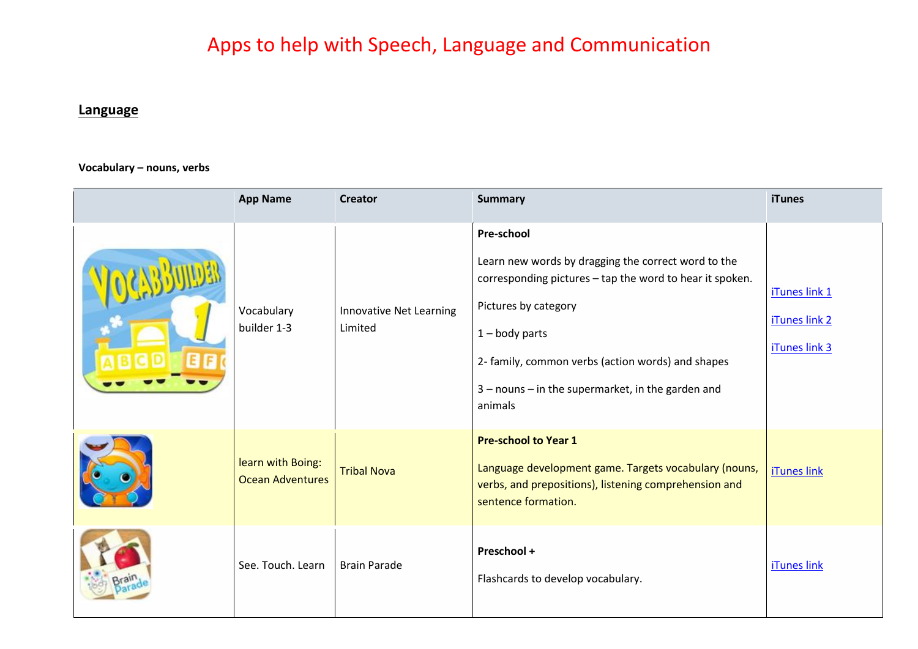# Apps to help with Speech, Language and Communication

## **Language**

**Vocabulary – nouns, verbs**

| <b>App Name</b>                              | <b>Creator</b>                            | <b>Summary</b>                                                                                                                                                                                                                                                                                        | iTunes                                          |
|----------------------------------------------|-------------------------------------------|-------------------------------------------------------------------------------------------------------------------------------------------------------------------------------------------------------------------------------------------------------------------------------------------------------|-------------------------------------------------|
| Vocabulary<br>builder 1-3                    | <b>Innovative Net Learning</b><br>Limited | <b>Pre-school</b><br>Learn new words by dragging the correct word to the<br>corresponding pictures - tap the word to hear it spoken.<br>Pictures by category<br>$1 -$ body parts<br>2- family, common verbs (action words) and shapes<br>3 - nouns - in the supermarket, in the garden and<br>animals | iTunes link 1<br>iTunes link 2<br>iTunes link 3 |
| learn with Boing:<br><b>Ocean Adventures</b> | <b>Tribal Nova</b>                        | <b>Pre-school to Year 1</b><br>Language development game. Targets vocabulary (nouns,<br>verbs, and prepositions), listening comprehension and<br>sentence formation.                                                                                                                                  | <b>iTunes link</b>                              |
| See. Touch. Learn                            | <b>Brain Parade</b>                       | Preschool +<br>Flashcards to develop vocabulary.                                                                                                                                                                                                                                                      | iTunes link                                     |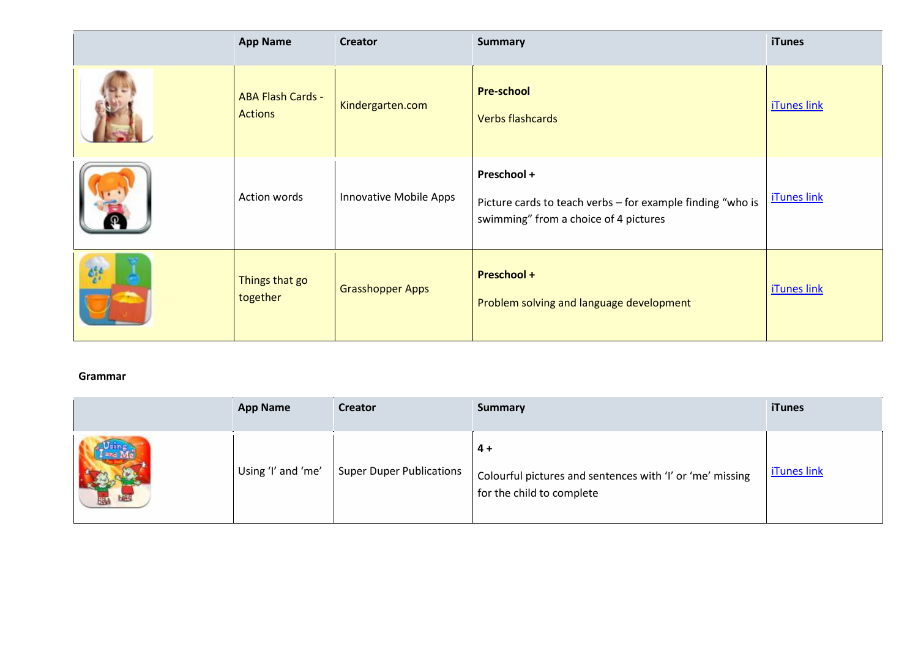|                                                                   | <b>App Name</b>                            | <b>Creator</b>          | <b>Summary</b>                                                                                                     | <b>iTunes</b>      |
|-------------------------------------------------------------------|--------------------------------------------|-------------------------|--------------------------------------------------------------------------------------------------------------------|--------------------|
|                                                                   | <b>ABA Flash Cards -</b><br><b>Actions</b> | Kindergarten.com        | <b>Pre-school</b><br><b>Verbs flashcards</b>                                                                       | <b>iTunes link</b> |
|                                                                   | Action words                               | Innovative Mobile Apps  | Preschool +<br>Picture cards to teach verbs - for example finding "who is<br>swimming" from a choice of 4 pictures | <b>iTunes link</b> |
| $\mathcal{O}^{\varepsilon,\varepsilon}_{\varepsilon,\varepsilon}$ | Things that go<br>together                 | <b>Grasshopper Apps</b> | <b>Preschool +</b><br>Problem solving and language development                                                     | <b>iTunes link</b> |

#### **Grammar**

| <b>App Name</b>    | <b>Creator</b>                  | <b>Summary</b>                                                                                | <b>iTunes</b>      |
|--------------------|---------------------------------|-----------------------------------------------------------------------------------------------|--------------------|
| Using 'I' and 'me' | <b>Super Duper Publications</b> | 4 +<br>Colourful pictures and sentences with 'I' or 'me' missing<br>for the child to complete | <b>iTunes link</b> |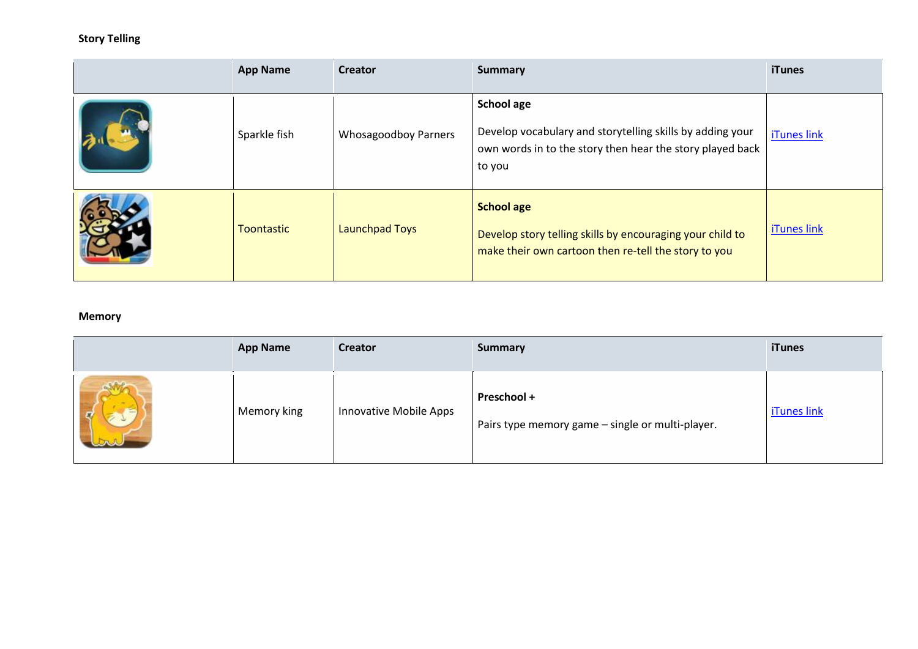### **Story Telling**

| <b>App Name</b>   | <b>Creator</b>              | <b>Summary</b>                                                                                                                                        | <b>iTunes</b>      |
|-------------------|-----------------------------|-------------------------------------------------------------------------------------------------------------------------------------------------------|--------------------|
| Sparkle fish      | <b>Whosagoodboy Parners</b> | <b>School age</b><br>Develop vocabulary and storytelling skills by adding your<br>own words in to the story then hear the story played back<br>to you | iTunes link        |
| <b>Toontastic</b> | <b>Launchpad Toys</b>       | <b>School age</b><br>Develop story telling skills by encouraging your child to<br>make their own cartoon then re-tell the story to you                | <b>iTunes link</b> |

#### **Memory**

|        | <b>App Name</b> | <b>Creator</b>         | <b>Summary</b>                                                  | <b>iTunes</b> |
|--------|-----------------|------------------------|-----------------------------------------------------------------|---------------|
| $\sim$ | Memory king     | Innovative Mobile Apps | Preschool +<br>Pairs type memory game - single or multi-player. | iTunes link   |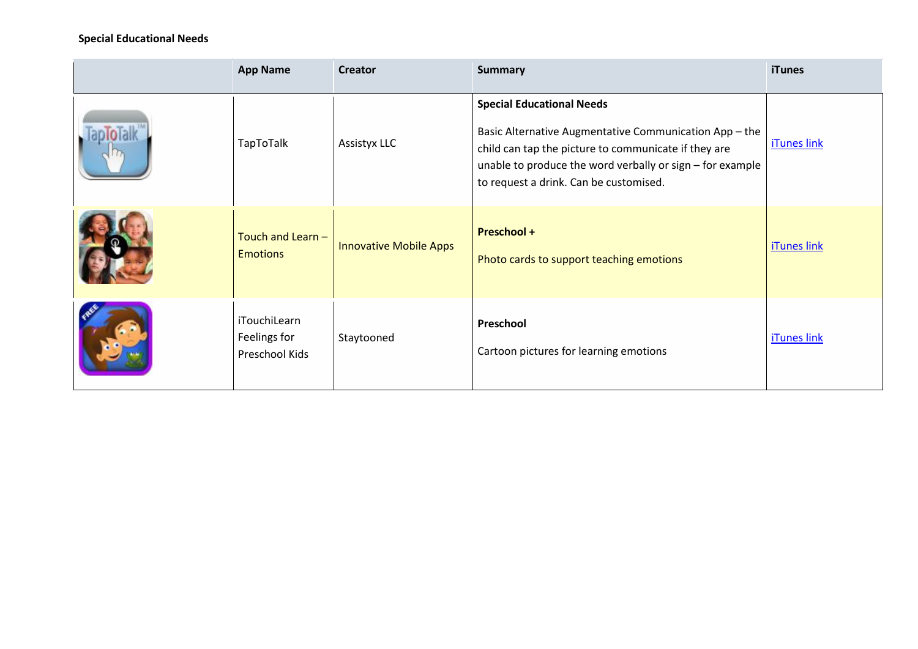#### **Special Educational Needs**

| <b>App Name</b>                                        | <b>Creator</b>                | <b>Summary</b>                                                                                                                                                                                                                                            | <b>iTunes</b>      |
|--------------------------------------------------------|-------------------------------|-----------------------------------------------------------------------------------------------------------------------------------------------------------------------------------------------------------------------------------------------------------|--------------------|
| TapToTalk                                              | <b>Assistyx LLC</b>           | <b>Special Educational Needs</b><br>Basic Alternative Augmentative Communication App - the<br>child can tap the picture to communicate if they are<br>unable to produce the word verbally or sign - for example<br>to request a drink. Can be customised. | <b>iTunes link</b> |
| Touch and Learn -<br><b>Emotions</b>                   | <b>Innovative Mobile Apps</b> | <b>Preschool +</b><br>Photo cards to support teaching emotions                                                                                                                                                                                            | <b>iTunes link</b> |
| <i>i</i> TouchiLearn<br>Feelings for<br>Preschool Kids | Staytooned                    | Preschool<br>Cartoon pictures for learning emotions                                                                                                                                                                                                       | iTunes link        |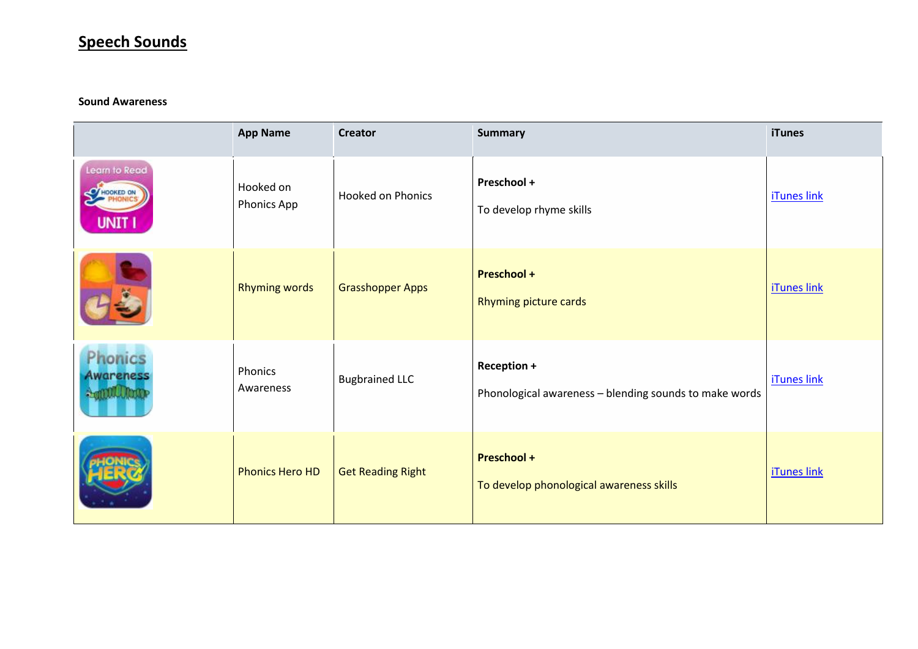## **Speech Sounds**

#### **Sound Awareness**

|                                               | <b>App Name</b>                 | <b>Creator</b>           | <b>Summary</b>                                                        | <b>iTunes</b>      |
|-----------------------------------------------|---------------------------------|--------------------------|-----------------------------------------------------------------------|--------------------|
| Learn to Read<br><b>O</b> HOOKED ON<br>UNIT I | Hooked on<br><b>Phonics App</b> | <b>Hooked on Phonics</b> | Preschool +<br>To develop rhyme skills                                | <b>iTunes link</b> |
|                                               | <b>Rhyming words</b>            | <b>Grasshopper Apps</b>  | <b>Preschool +</b><br>Rhyming picture cards                           | <b>iTunes link</b> |
| honics<br>Awareness<br><b>ALTIQUUU UTIDE</b>  | Phonics<br>Awareness            | <b>Bugbrained LLC</b>    | Reception +<br>Phonological awareness - blending sounds to make words | <b>iTunes link</b> |
|                                               | <b>Phonics Hero HD</b>          | <b>Get Reading Right</b> | <b>Preschool +</b><br>To develop phonological awareness skills        | <b>iTunes link</b> |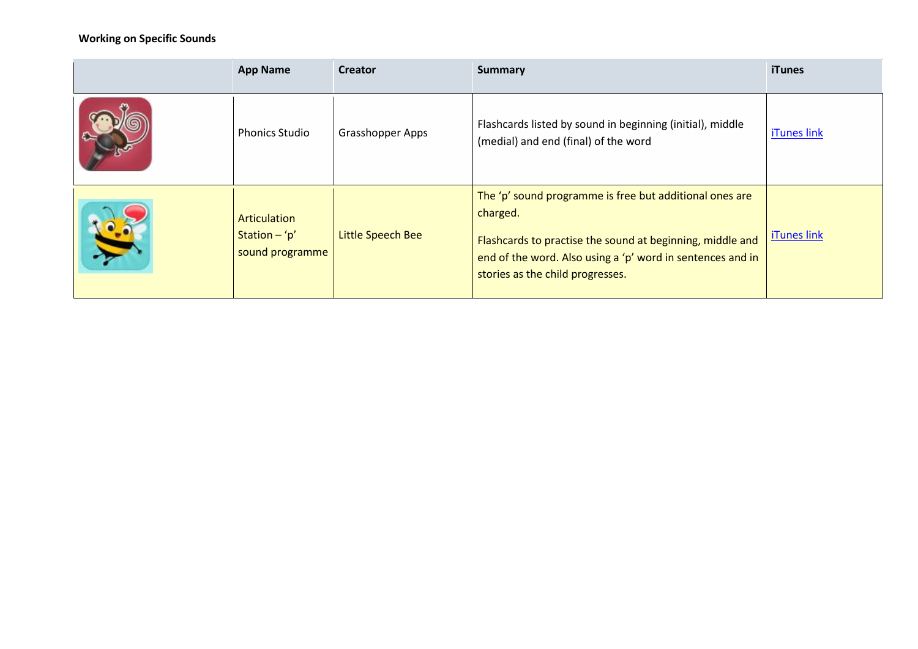### **Working on Specific Sounds**

| <b>App Name</b>                                    | <b>Creator</b>          | <b>Summary</b>                                                                                                                                                                                                                     | <b>iTunes</b> |
|----------------------------------------------------|-------------------------|------------------------------------------------------------------------------------------------------------------------------------------------------------------------------------------------------------------------------------|---------------|
| <b>Phonics Studio</b>                              | <b>Grasshopper Apps</b> | Flashcards listed by sound in beginning (initial), middle<br>(medial) and end (final) of the word                                                                                                                                  | iTunes link   |
| Articulation<br>Station $-$ 'p'<br>sound programme | Little Speech Bee       | The 'p' sound programme is free but additional ones are<br>charged.<br>Flashcards to practise the sound at beginning, middle and<br>end of the word. Also using a 'p' word in sentences and in<br>stories as the child progresses. | iTunes link   |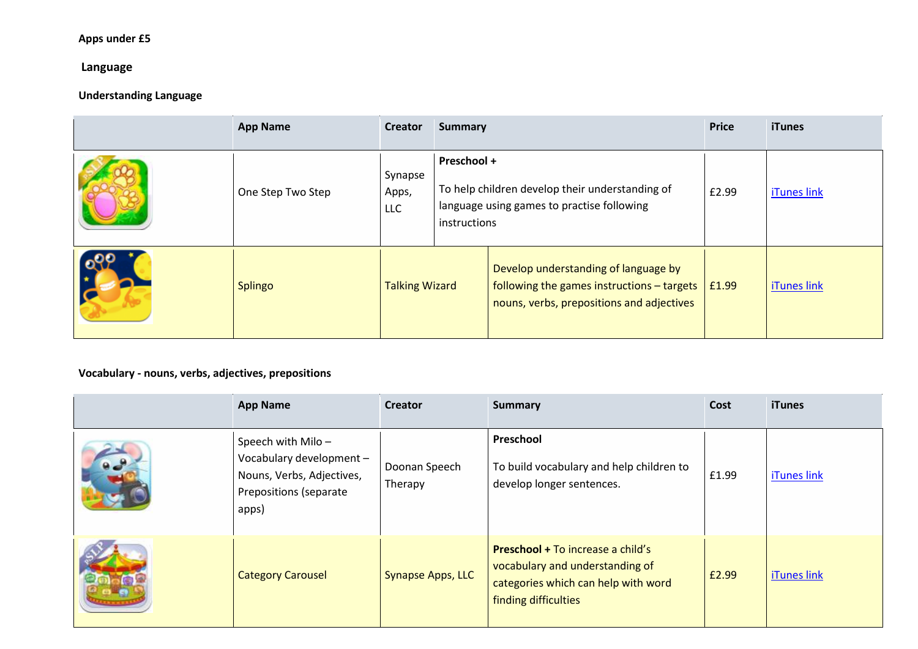## **Apps under £5**

## **Language**

## **Understanding Language**

| <b>App Name</b>   | Creator                        | <b>Summary</b>                                                                                                               |                                                                                                                                 | <b>Price</b> | <b>iTunes</b>      |
|-------------------|--------------------------------|------------------------------------------------------------------------------------------------------------------------------|---------------------------------------------------------------------------------------------------------------------------------|--------------|--------------------|
| One Step Two Step | Synapse<br>Apps,<br><b>LLC</b> | Preschool +<br>To help children develop their understanding of<br>language using games to practise following<br>instructions |                                                                                                                                 | £2.99        | <b>iTunes link</b> |
| Splingo           | <b>Talking Wizard</b>          |                                                                                                                              | Develop understanding of language by<br>following the games instructions - targets<br>nouns, verbs, prepositions and adjectives | £1.99        | iTunes link        |

### **Vocabulary - nouns, verbs, adjectives, prepositions**

| <b>App Name</b>                                                                                               | <b>Creator</b>           | <b>Summary</b>                                                                                                                      | Cost  | <b>iTunes</b>      |
|---------------------------------------------------------------------------------------------------------------|--------------------------|-------------------------------------------------------------------------------------------------------------------------------------|-------|--------------------|
| Speech with Milo-<br>Vocabulary development -<br>Nouns, Verbs, Adjectives,<br>Prepositions (separate<br>apps) | Doonan Speech<br>Therapy | Preschool<br>To build vocabulary and help children to<br>develop longer sentences.                                                  | £1.99 | iTunes link        |
| <b>Category Carousel</b>                                                                                      | <b>Synapse Apps, LLC</b> | Preschool + To increase a child's<br>vocabulary and understanding of<br>categories which can help with word<br>finding difficulties | £2.99 | <b>iTunes link</b> |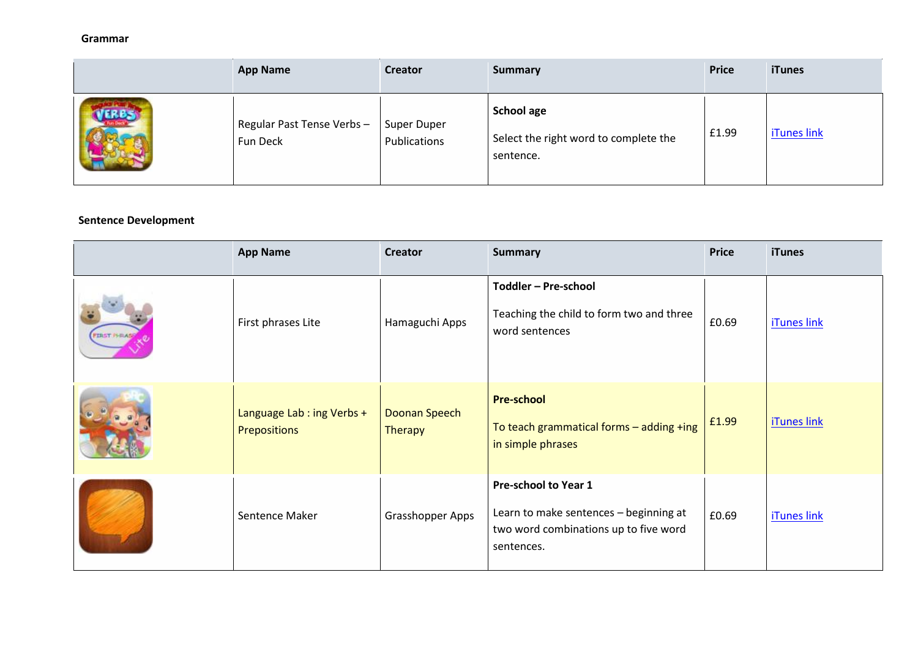#### **Grammar**

| <b>App Name</b>                       | <b>Creator</b>                     | <b>Summary</b>                                                   | <b>Price</b> | <b>iTunes</b> |
|---------------------------------------|------------------------------------|------------------------------------------------------------------|--------------|---------------|
| Regular Past Tense Verbs-<br>Fun Deck | <b>Super Duper</b><br>Publications | School age<br>Select the right word to complete the<br>sentence. | £1.99        | iTunes link   |

#### **Sentence Development**

| <b>App Name</b>                           | <b>Creator</b>                  | <b>Summary</b>                                                                                                               | <b>Price</b> | <b>iTunes</b>      |
|-------------------------------------------|---------------------------------|------------------------------------------------------------------------------------------------------------------------------|--------------|--------------------|
| First phrases Lite                        | Hamaguchi Apps                  | Toddler - Pre-school<br>Teaching the child to form two and three<br>word sentences                                           | £0.69        | <b>iTunes link</b> |
| Language Lab: ing Verbs +<br>Prepositions | Doonan Speech<br><b>Therapy</b> | <b>Pre-school</b><br>To teach grammatical forms - adding +ing<br>in simple phrases                                           | £1.99        | <b>iTunes link</b> |
| Sentence Maker                            | Grasshopper Apps                | <b>Pre-school to Year 1</b><br>Learn to make sentences - beginning at<br>two word combinations up to five word<br>sentences. | £0.69        | <b>iTunes link</b> |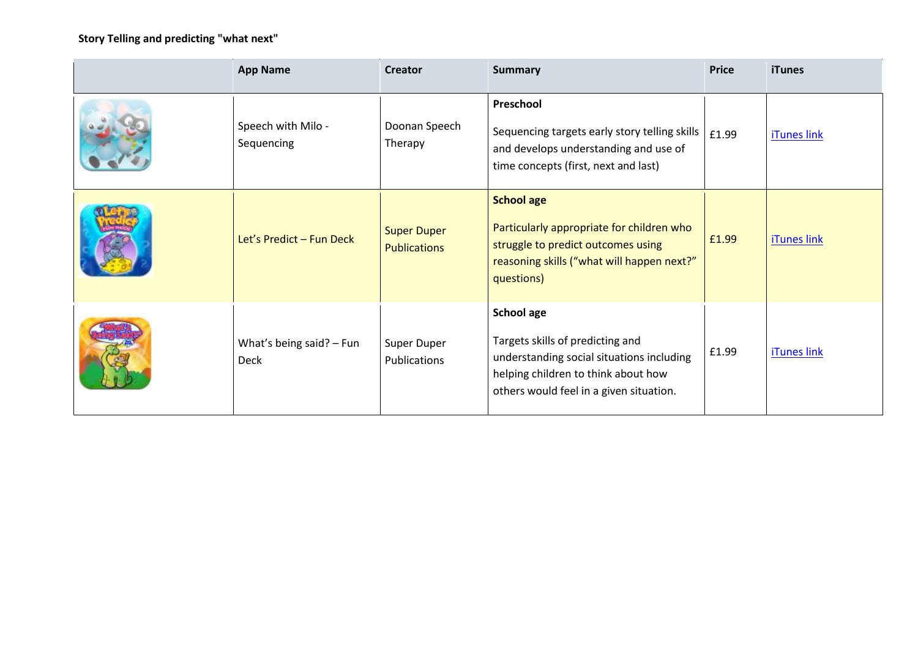## **Story Telling and predicting "what next"**

| <b>App Name</b>                           | <b>Creator</b>                            | <b>Summary</b>                                                                                                                                                                | <b>Price</b> | <b>iTunes</b>      |
|-------------------------------------------|-------------------------------------------|-------------------------------------------------------------------------------------------------------------------------------------------------------------------------------|--------------|--------------------|
| Speech with Milo -<br>Sequencing          | Doonan Speech<br>Therapy                  | Preschool<br>Sequencing targets early story telling skills<br>and develops understanding and use of<br>time concepts (first, next and last)                                   | £1.99        | <b>iTunes link</b> |
| Let's Predict - Fun Deck                  | <b>Super Duper</b><br><b>Publications</b> | <b>School age</b><br>Particularly appropriate for children who<br>struggle to predict outcomes using<br>reasoning skills ("what will happen next?"<br>questions)              | £1.99        | <b>iTunes link</b> |
| What's being said? $-$ Fun<br><b>Deck</b> | Super Duper<br>Publications               | School age<br>Targets skills of predicting and<br>understanding social situations including<br>helping children to think about how<br>others would feel in a given situation. | £1.99        | iTunes link        |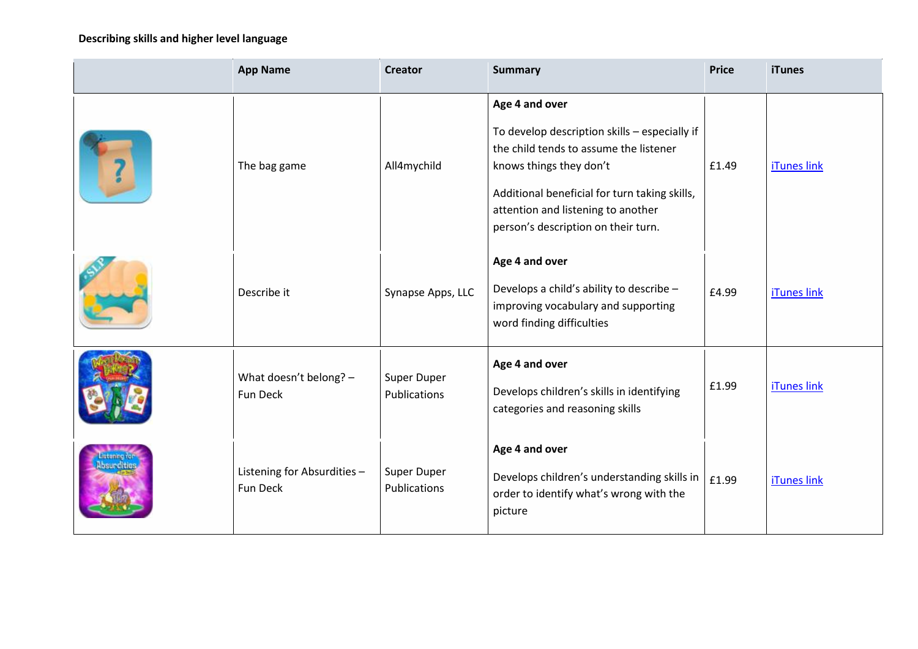## **Describing skills and higher level language**

|            | <b>App Name</b>                         | <b>Creator</b>              | <b>Summary</b>                                                                                                                                                                                                                                                     | <b>Price</b> | <b>iTunes</b>      |
|------------|-----------------------------------------|-----------------------------|--------------------------------------------------------------------------------------------------------------------------------------------------------------------------------------------------------------------------------------------------------------------|--------------|--------------------|
|            | The bag game                            | All4mychild                 | Age 4 and over<br>To develop description skills - especially if<br>the child tends to assume the listener<br>knows things they don't<br>Additional beneficial for turn taking skills,<br>attention and listening to another<br>person's description on their turn. | £1.49        | <b>iTunes link</b> |
|            | Describe it                             | Synapse Apps, LLC           | Age 4 and over<br>Develops a child's ability to describe -<br>improving vocabulary and supporting<br>word finding difficulties                                                                                                                                     | £4.99        | iTunes link        |
|            | What doesn't belong? -<br>Fun Deck      | Super Duper<br>Publications | Age 4 and over<br>Develops children's skills in identifying<br>categories and reasoning skills                                                                                                                                                                     | £1.99        | iTunes link        |
| bsurdities | Listening for Absurdities -<br>Fun Deck | Super Duper<br>Publications | Age 4 and over<br>Develops children's understanding skills in<br>order to identify what's wrong with the<br>picture                                                                                                                                                | £1.99        | iTunes link        |